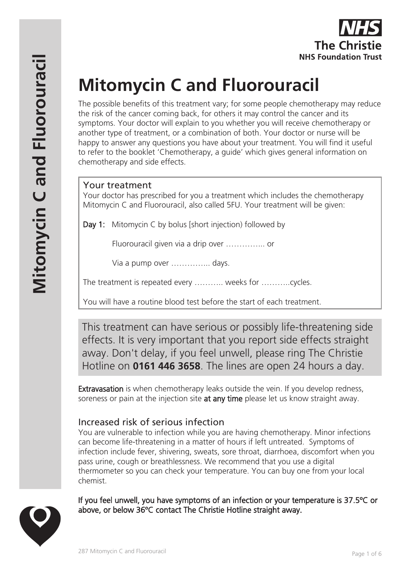# **Mitomycin C and Fluorouracil**

The possible benefits of this treatment vary; for some people chemotherapy may reduce the risk of the cancer coming back, for others it may control the cancer and its symptoms. Your doctor will explain to you whether you will receive chemotherapy or another type of treatment, or a combination of both. Your doctor or nurse will be happy to answer any questions you have about your treatment. You will find it useful to refer to the booklet 'Chemotherapy, a guide' which gives general information on chemotherapy and side effects.

## Your treatment

Your doctor has prescribed for you a treatment which includes the chemotherapy Mitomycin C and Fluorouracil, also called 5FU. Your treatment will be given:

Day 1: Mitomycin C by bolus [short injection) followed by

Fluorouracil given via a drip over …………... or

Via a pump over …………... days.

The treatment is repeated every ……….. weeks for ………..cycles.

You will have a routine blood test before the start of each treatment.

This treatment can have serious or possibly life-threatening side effects. It is very important that you report side effects straight away. Don't delay, if you feel unwell, please ring The Christie Hotline on **0161 446 3658**. The lines are open 24 hours a day.

**Extravasation** is when chemotherapy leaks outside the vein. If you develop redness, soreness or pain at the injection site **at any time** please let us know straight away.

## Increased risk of serious infection

You are vulnerable to infection while you are having chemotherapy. Minor infections can become life-threatening in a matter of hours if left untreated. Symptoms of infection include fever, shivering, sweats, sore throat, diarrhoea, discomfort when you pass urine, cough or breathlessness. We recommend that you use a digital thermometer so you can check your temperature. You can buy one from your local chemist.

If you feel unwell, you have symptoms of an infection or your temperature is 37.5ºC or above, or below 36ºC contact The Christie Hotline straight away.

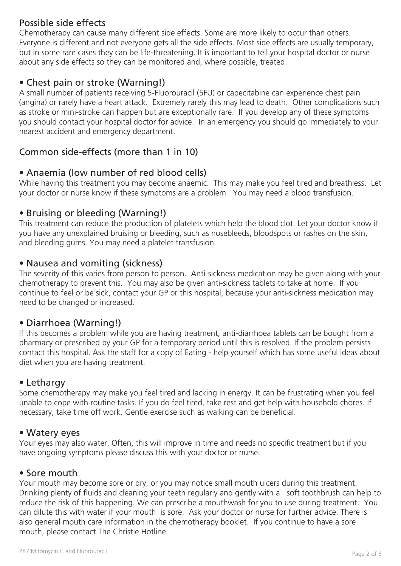## Possible side effects

Chemotherapy can cause many different side effects. Some are more likely to occur than others. Everyone is different and not everyone gets all the side effects. Most side effects are usually temporary, but in some rare cases they can be life-threatening. It is important to tell your hospital doctor or nurse about any side effects so they can be monitored and, where possible, treated.

## • Chest pain or stroke (Warning!)

A small number of patients receiving 5-Fluorouracil (5FU) or capecitabine can experience chest pain (angina) or rarely have a heart attack. Extremely rarely this may lead to death. Other complications such as stroke or mini-stroke can happen but are exceptionally rare. If you develop any of these symptoms you should contact your hospital doctor for advice. In an emergency you should go immediately to your nearest accident and emergency department.

## Common side-effects (more than 1 in 10)

### • Anaemia (low number of red blood cells)

While having this treatment you may become anaemic. This may make you feel tired and breathless. Let your doctor or nurse know if these symptoms are a problem. You may need a blood transfusion.

#### • Bruising or bleeding (Warning!)

This treatment can reduce the production of platelets which help the blood clot. Let your doctor know if you have any unexplained bruising or bleeding, such as nosebleeds, bloodspots or rashes on the skin, and bleeding gums. You may need a platelet transfusion.

#### • Nausea and vomiting (sickness)

The severity of this varies from person to person. Anti-sickness medication may be given along with your chemotherapy to prevent this. You may also be given anti-sickness tablets to take at home. If you continue to feel or be sick, contact your GP or this hospital, because your anti-sickness medication may need to be changed or increased.

## • Diarrhoea (Warning!)

If this becomes a problem while you are having treatment, anti-diarrhoea tablets can be bought from a pharmacy or prescribed by your GP for a temporary period until this is resolved. If the problem persists contact this hospital. Ask the staff for a copy of Eating - help yourself which has some useful ideas about diet when you are having treatment.

#### • Lethargy

Some chemotherapy may make you feel tired and lacking in energy. It can be frustrating when you feel unable to cope with routine tasks. If you do feel tired, take rest and get help with household chores. If necessary, take time off work. Gentle exercise such as walking can be beneficial.

#### • Watery eyes

Your eyes may also water. Often, this will improve in time and needs no specific treatment but if you have ongoing symptoms please discuss this with your doctor or nurse.

#### • Sore mouth

Your mouth may become sore or dry, or you may notice small mouth ulcers during this treatment. Drinking plenty of fluids and cleaning your teeth regularly and gently with a soft toothbrush can help to reduce the risk of this happening. We can prescribe a mouthwash for you to use during treatment. You can dilute this with water if your mouth is sore. Ask your doctor or nurse for further advice. There is also general mouth care information in the chemotherapy booklet. If you continue to have a sore mouth, please contact The Christie Hotline.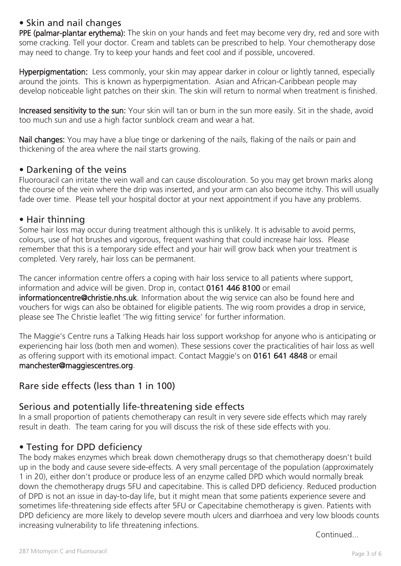## • Skin and nail changes

PPE (palmar-plantar erythema): The skin on your hands and feet may become very dry, red and sore with some cracking. Tell your doctor. Cream and tablets can be prescribed to help. Your chemotherapy dose may need to change. Try to keep your hands and feet cool and if possible, uncovered.

Hyperpigmentation: Less commonly, your skin may appear darker in colour or lightly tanned, especially around the joints. This is known as hyperpigmentation. Asian and African-Caribbean people may develop noticeable light patches on their skin. The skin will return to normal when treatment is finished.

Increased sensitivity to the sun: Your skin will tan or burn in the sun more easily. Sit in the shade, avoid too much sun and use a high factor sunblock cream and wear a hat.

Nail changes: You may have a blue tinge or darkening of the nails, flaking of the nails or pain and thickening of the area where the nail starts growing.

#### • Darkening of the veins

Fluorouracil can irritate the vein wall and can cause discolouration. So you may get brown marks along the course of the vein where the drip was inserted, and your arm can also become itchy. This will usually fade over time. Please tell your hospital doctor at your next appointment if you have any problems.

#### • Hair thinning

Some hair loss may occur during treatment although this is unlikely. It is advisable to avoid perms, colours, use of hot brushes and vigorous, frequent washing that could increase hair loss. Please remember that this is a temporary side effect and your hair will grow back when your treatment is completed. Very rarely, hair loss can be permanent.

The cancer information centre offers a coping with hair loss service to all patients where support, information and advice will be given. Drop in, contact 0161 446 8100 or email informationcentre@christie.nhs.uk. Information about the wig service can also be found here and vouchers for wigs can also be obtained for eligible patients. The wig room provides a drop in service, please see The Christie leaflet 'The wig fitting service' for further information.

The Maggie's Centre runs a Talking Heads hair loss support workshop for anyone who is anticipating or experiencing hair loss (both men and women). These sessions cover the practicalities of hair loss as well as offering support with its emotional impact. Contact Maggie's on 0161 641 4848 or email manchester@maggiescentres.org.

## Rare side effects (less than 1 in 100)

## Serious and potentially life-threatening side effects

In a small proportion of patients chemotherapy can result in very severe side effects which may rarely result in death. The team caring for you will discuss the risk of these side effects with you.

## • Testing for DPD deficiency

The body makes enzymes which break down chemotherapy drugs so that chemotherapy doesn't build up in the body and cause severe side-effects. A very small percentage of the population (approximately 1 in 20), either don't produce or produce less of an enzyme called DPD which would normally break down the chemotherapy drugs 5FU and capecitabine. This is called DPD deficiency. Reduced production of DPD is not an issue in day-to-day life, but it might mean that some patients experience severe and sometimes life-threatening side effects after 5FU or Capecitabine chemotherapy is given. Patients with DPD deficiency are more likely to develop severe mouth ulcers and diarrhoea and very low bloods counts increasing vulnerability to life threatening infections.

Continued...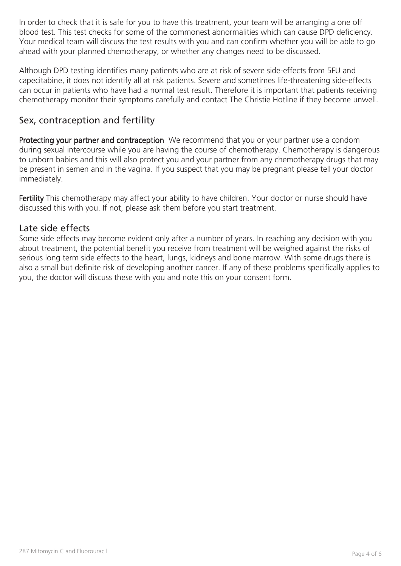In order to check that it is safe for you to have this treatment, your team will be arranging a one off blood test. This test checks for some of the commonest abnormalities which can cause DPD deficiency. Your medical team will discuss the test results with you and can confirm whether you will be able to go ahead with your planned chemotherapy, or whether any changes need to be discussed.

Although DPD testing identifies many patients who are at risk of severe side-effects from 5FU and capecitabine, it does not identify all at risk patients. Severe and sometimes life-threatening side-effects can occur in patients who have had a normal test result. Therefore it is important that patients receiving chemotherapy monitor their symptoms carefully and contact The Christie Hotline if they become unwell.

## Sex, contraception and fertility

Protecting your partner and contraception We recommend that you or your partner use a condom during sexual intercourse while you are having the course of chemotherapy. Chemotherapy is dangerous to unborn babies and this will also protect you and your partner from any chemotherapy drugs that may be present in semen and in the vagina. If you suspect that you may be pregnant please tell your doctor immediately.

Fertility This chemotherapy may affect your ability to have children. Your doctor or nurse should have discussed this with you. If not, please ask them before you start treatment.

#### Late side effects

Some side effects may become evident only after a number of years. In reaching any decision with you about treatment, the potential benefit you receive from treatment will be weighed against the risks of serious long term side effects to the heart, lungs, kidneys and bone marrow. With some drugs there is also a small but definite risk of developing another cancer. If any of these problems specifically applies to you, the doctor will discuss these with you and note this on your consent form.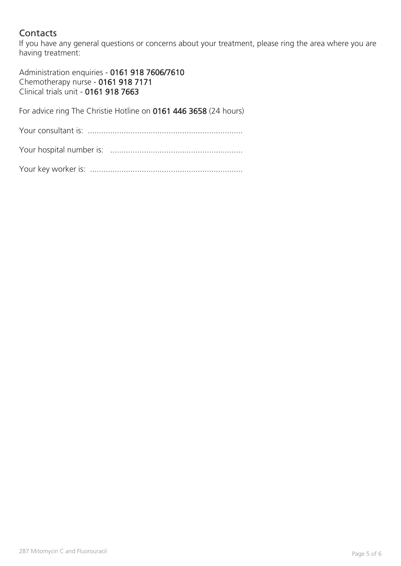## **Contacts**

If you have any general questions or concerns about your treatment, please ring the area where you are having treatment:

Administration enquiries - 0161 918 7606/7610 Chemotherapy nurse - 0161 918 7171 Clinical trials unit - 0161 918 7663

For advice ring The Christie Hotline on 0161 446 3658 (24 hours)

Your consultant is: .....................................................................

Your hospital number is: ...........................................................

Your key worker is: ....................................................................